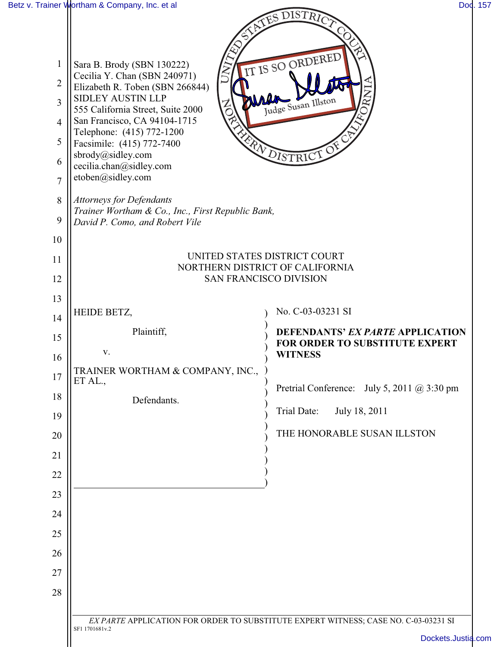| 1<br>$\overline{2}$<br>3<br>$\overline{4}$<br>5<br>6<br>$\overline{7}$<br>8<br>9<br>10<br>11<br>12 | Sara B. Brody (SBN 130222)<br>$\gtrsim$<br>Cecilia Y. Chan (SBN 240971)<br>Elizabeth R. Toben (SBN 266844)<br><b>SIDLEY AUSTIN LLP</b><br>555 California Street, Suite 2000<br>San Francisco, CA 94104-1715<br>Telephone: (415) 772-1200<br>Facsimile: (415) 772-7400<br>sbrody@sidley.com<br>cecilia.chan@sidley.com<br>etoben@sidley.com<br><b>Attorneys for Defendants</b><br>Trainer Wortham & Co., Inc., First Republic Bank,<br>David P. Como, and Robert Vile<br><b>SAN FRANCISCO DIVISION</b> | ATES DISTRICT<br>IT IS SO ORDERED<br>Judge Susan Illston<br>MENDISTRICT OF<br>UNITED STATES DISTRICT COURT<br>NORTHERN DISTRICT OF CALIFORNIA |
|----------------------------------------------------------------------------------------------------|-------------------------------------------------------------------------------------------------------------------------------------------------------------------------------------------------------------------------------------------------------------------------------------------------------------------------------------------------------------------------------------------------------------------------------------------------------------------------------------------------------|-----------------------------------------------------------------------------------------------------------------------------------------------|
| 13                                                                                                 |                                                                                                                                                                                                                                                                                                                                                                                                                                                                                                       |                                                                                                                                               |
| 14                                                                                                 | HEIDE BETZ,                                                                                                                                                                                                                                                                                                                                                                                                                                                                                           | No. C-03-03231 SI                                                                                                                             |
| 15                                                                                                 | Plaintiff,                                                                                                                                                                                                                                                                                                                                                                                                                                                                                            | DEFENDANTS' EX PARTE APPLICATION<br>FOR ORDER TO SUBSTITUTE EXPERT                                                                            |
| 16                                                                                                 | V.                                                                                                                                                                                                                                                                                                                                                                                                                                                                                                    | <b>WITNESS</b>                                                                                                                                |
| $17\,$                                                                                             | TRAINER WORTHAM & COMPANY, INC.,<br>ET AL.,                                                                                                                                                                                                                                                                                                                                                                                                                                                           |                                                                                                                                               |
| 18                                                                                                 | Defendants.                                                                                                                                                                                                                                                                                                                                                                                                                                                                                           | Pretrial Conference: July 5, 2011 @ 3:30 pm                                                                                                   |
| 19                                                                                                 |                                                                                                                                                                                                                                                                                                                                                                                                                                                                                                       | Trial Date:<br>July 18, 2011                                                                                                                  |
| 20                                                                                                 |                                                                                                                                                                                                                                                                                                                                                                                                                                                                                                       | THE HONORABLE SUSAN ILLSTON                                                                                                                   |
| 21                                                                                                 |                                                                                                                                                                                                                                                                                                                                                                                                                                                                                                       |                                                                                                                                               |
| 22                                                                                                 |                                                                                                                                                                                                                                                                                                                                                                                                                                                                                                       |                                                                                                                                               |
| 23                                                                                                 |                                                                                                                                                                                                                                                                                                                                                                                                                                                                                                       |                                                                                                                                               |
| 24                                                                                                 |                                                                                                                                                                                                                                                                                                                                                                                                                                                                                                       |                                                                                                                                               |
| 25                                                                                                 |                                                                                                                                                                                                                                                                                                                                                                                                                                                                                                       |                                                                                                                                               |
| 26                                                                                                 |                                                                                                                                                                                                                                                                                                                                                                                                                                                                                                       |                                                                                                                                               |
| 27                                                                                                 |                                                                                                                                                                                                                                                                                                                                                                                                                                                                                                       |                                                                                                                                               |
| 28                                                                                                 |                                                                                                                                                                                                                                                                                                                                                                                                                                                                                                       |                                                                                                                                               |
|                                                                                                    | SF1 1701681v.2                                                                                                                                                                                                                                                                                                                                                                                                                                                                                        | EX PARTE APPLICATION FOR ORDER TO SUBSTITUTE EXPERT WITNESS; CASE NO. C-03-03231 SI<br>Dockets.Justia.com                                     |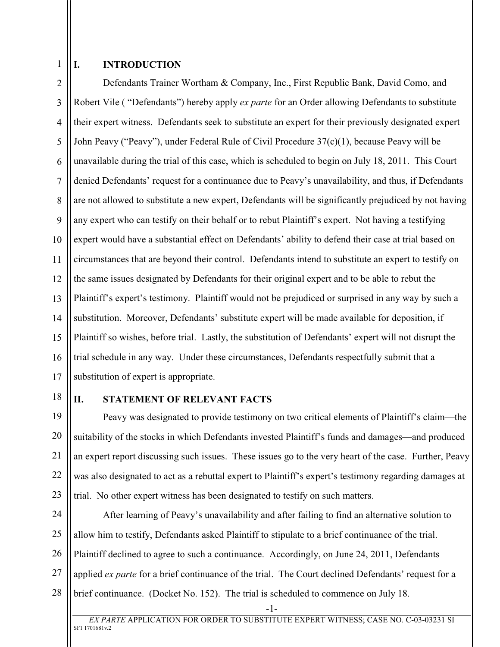1

## **I. INTRODUCTION**

2 3 4 5 6 7 8 9 10 11 12 13 14 15 16 17 Defendants Trainer Wortham & Company, Inc., First Republic Bank, David Como, and Robert Vile ( "Defendants") hereby apply *ex parte* for an Order allowing Defendants to substitute their expert witness. Defendants seek to substitute an expert for their previously designated expert John Peavy ("Peavy"), under Federal Rule of Civil Procedure 37(c)(1), because Peavy will be unavailable during the trial of this case, which is scheduled to begin on July 18, 2011. This Court denied Defendants' request for a continuance due to Peavy's unavailability, and thus, if Defendants are not allowed to substitute a new expert, Defendants will be significantly prejudiced by not having any expert who can testify on their behalf or to rebut Plaintiff's expert. Not having a testifying expert would have a substantial effect on Defendants' ability to defend their case at trial based on circumstances that are beyond their control. Defendants intend to substitute an expert to testify on the same issues designated by Defendants for their original expert and to be able to rebut the Plaintiff's expert's testimony. Plaintiff would not be prejudiced or surprised in any way by such a substitution. Moreover, Defendants' substitute expert will be made available for deposition, if Plaintiff so wishes, before trial. Lastly, the substitution of Defendants' expert will not disrupt the trial schedule in any way. Under these circumstances, Defendants respectfully submit that a substitution of expert is appropriate.

18

## **II. STATEMENT OF RELEVANT FACTS**

19 20 21 22 23 Peavy was designated to provide testimony on two critical elements of Plaintiff's claim—the suitability of the stocks in which Defendants invested Plaintiff's funds and damages—and produced an expert report discussing such issues. These issues go to the very heart of the case. Further, Peavy was also designated to act as a rebuttal expert to Plaintiff's expert's testimony regarding damages at trial. No other expert witness has been designated to testify on such matters.

24 25 26 27 28 After learning of Peavy's unavailability and after failing to find an alternative solution to allow him to testify, Defendants asked Plaintiff to stipulate to a brief continuance of the trial. Plaintiff declined to agree to such a continuance. Accordingly, on June 24, 2011, Defendants applied *ex parte* for a brief continuance of the trial. The Court declined Defendants' request for a brief continuance. (Docket No. 152). The trial is scheduled to commence on July 18.

-1-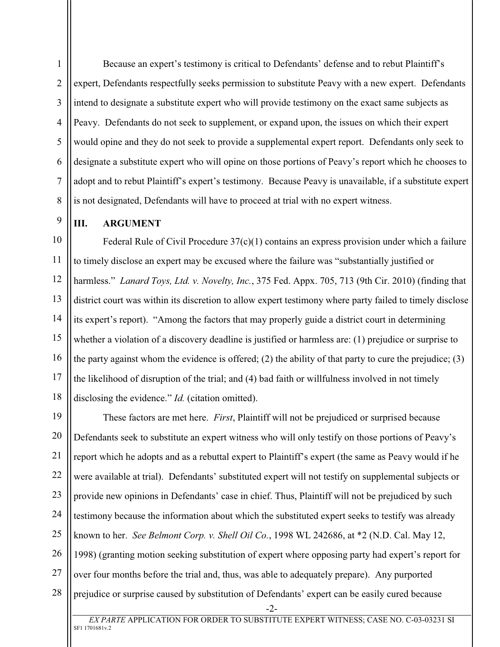Because an expert's testimony is critical to Defendants' defense and to rebut Plaintiff's expert, Defendants respectfully seeks permission to substitute Peavy with a new expert. Defendants intend to designate a substitute expert who will provide testimony on the exact same subjects as Peavy. Defendants do not seek to supplement, or expand upon, the issues on which their expert would opine and they do not seek to provide a supplemental expert report. Defendants only seek to designate a substitute expert who will opine on those portions of Peavy's report which he chooses to adopt and to rebut Plaintiff's expert's testimony. Because Peavy is unavailable, if a substitute expert is not designated, Defendants will have to proceed at trial with no expert witness.

**III. ARGUMENT**

1

2

3

4

5

6

7

8

9

10 11 12 13 14 15 16 17 18 Federal Rule of Civil Procedure 37(c)(1) contains an express provision under which a failure to timely disclose an expert may be excused where the failure was "substantially justified or harmless." *Lanard Toys, Ltd. v. Novelty, Inc.*, 375 Fed. Appx. 705, 713 (9th Cir. 2010) (finding that district court was within its discretion to allow expert testimony where party failed to timely disclose its expert's report). "Among the factors that may properly guide a district court in determining whether a violation of a discovery deadline is justified or harmless are: (1) prejudice or surprise to the party against whom the evidence is offered; (2) the ability of that party to cure the prejudice; (3) the likelihood of disruption of the trial; and (4) bad faith or willfulness involved in not timely disclosing the evidence." *Id.* (citation omitted).

19 20 21 22 23 24 25 26 27 28 -2- These factors are met here. *First*, Plaintiff will not be prejudiced or surprised because Defendants seek to substitute an expert witness who will only testify on those portions of Peavy's report which he adopts and as a rebuttal expert to Plaintiff's expert (the same as Peavy would if he were available at trial). Defendants' substituted expert will not testify on supplemental subjects or provide new opinions in Defendants' case in chief. Thus, Plaintiff will not be prejudiced by such testimony because the information about which the substituted expert seeks to testify was already known to her. *See Belmont Corp. v. Shell Oil Co.*, 1998 WL 242686, at \*2 (N.D. Cal. May 12, 1998) (granting motion seeking substitution of expert where opposing party had expert's report for over four months before the trial and, thus, was able to adequately prepare). Any purported prejudice or surprise caused by substitution of Defendants' expert can be easily cured because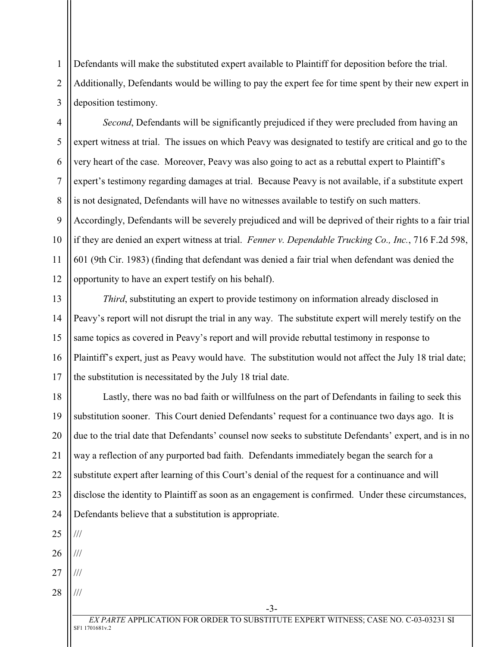Defendants will make the substituted expert available to Plaintiff for deposition before the trial. Additionally, Defendants would be willing to pay the expert fee for time spent by their new expert in deposition testimony.

4 5 6 7 8 9 10 11 12 *Second*, Defendants will be significantly prejudiced if they were precluded from having an expert witness at trial. The issues on which Peavy was designated to testify are critical and go to the very heart of the case. Moreover, Peavy was also going to act as a rebuttal expert to Plaintiff's expert's testimony regarding damages at trial. Because Peavy is not available, if a substitute expert is not designated, Defendants will have no witnesses available to testify on such matters. Accordingly, Defendants will be severely prejudiced and will be deprived of their rights to a fair trial if they are denied an expert witness at trial. *Fenner v. Dependable Trucking Co., Inc.*, 716 F.2d 598, 601 (9th Cir. 1983) (finding that defendant was denied a fair trial when defendant was denied the opportunity to have an expert testify on his behalf).

13 14 15 16 17 *Third*, substituting an expert to provide testimony on information already disclosed in Peavy's report will not disrupt the trial in any way. The substitute expert will merely testify on the same topics as covered in Peavy's report and will provide rebuttal testimony in response to Plaintiff's expert, just as Peavy would have. The substitution would not affect the July 18 trial date; the substitution is necessitated by the July 18 trial date.

18 19 20 21 22 23 24 Lastly, there was no bad faith or willfulness on the part of Defendants in failing to seek this substitution sooner. This Court denied Defendants' request for a continuance two days ago. It is due to the trial date that Defendants' counsel now seeks to substitute Defendants' expert, and is in no way a reflection of any purported bad faith. Defendants immediately began the search for a substitute expert after learning of this Court's denial of the request for a continuance and will disclose the identity to Plaintiff as soon as an engagement is confirmed. Under these circumstances, Defendants believe that a substitution is appropriate.

25 26 /// ///

1

2

3

27 ///

///

-3-